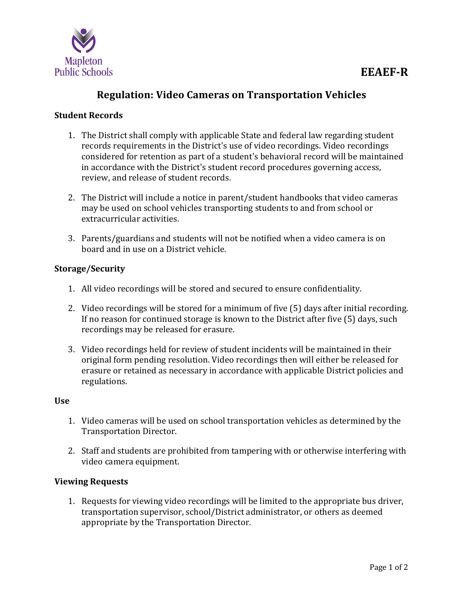

# **Regulation: Video Cameras on Transportation Vehicles**

### **Student Records**

- 1. The District shall comply with applicable State and federal law regarding student records requirements in the District's use of video recordings. Video recordings considered for retention as part of a student's behavioral record will be maintained in accordance with the District's student record procedures governing access, review, and release of student records.
- 2. The District will include a notice in parent/student handbooks that video cameras may be used on school vehicles transporting students to and from school or extracurricular activities.
- 3. Parents/guardians and students will not be notified when a video camera is on board and in use on a District vehicle.

#### **Storage/Security**

- 1. All video recordings will be stored and secured to ensure confidentiality.
- 2. Video recordings will be stored for a minimum of five (5) days after initial recording. If no reason for continued storage is known to the District after five (5) days, such recordings may be released for erasure.
- 3. Video recordings held for review of student incidents will be maintained in their original form pending resolution. Video recordings then will either be released for erasure or retained as necessary in accordance with applicable District policies and regulations.

#### **Use**

- 1. Video cameras will be used on school transportation vehicles as determined by the Transportation Director.
- 2. Staff and students are prohibited from tampering with or otherwise interfering with video camera equipment.

#### **Viewing Requests**

1. Requests for viewing video recordings will be limited to the appropriate bus driver, transportation supervisor, school/District administrator, or others as deemed appropriate by the Transportation Director.